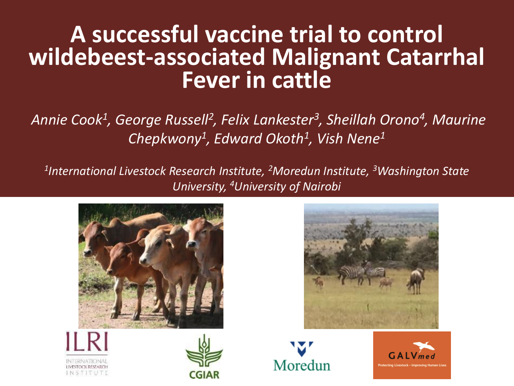### **A successful vaccine trial to control wildebeest-associated Malignant Catarrhal Fever in cattle**

*Annie Cook<sup>1</sup> , George Russell<sup>2</sup> , Felix Lankester<sup>3</sup> , Sheillah Orono<sup>4</sup> , Maurine Chepkwony<sup>1</sup> , Edward Okoth<sup>1</sup> , Vish Nene<sup>1</sup>*

*1 International Livestock Research Institute, <sup>2</sup>Moredun Institute, <sup>3</sup>Washington State University, 4University of Nairobi*









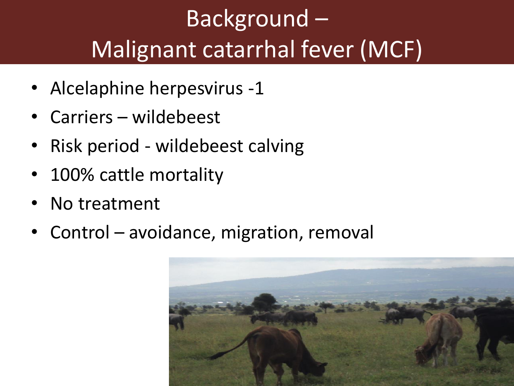### Background – Malignant catarrhal fever (MCF)

- Alcelaphine herpesvirus -1
- Carriers wildebeest
- Risk period wildebeest calving
- 100% cattle mortality
- No treatment
- Control avoidance, migration, removal

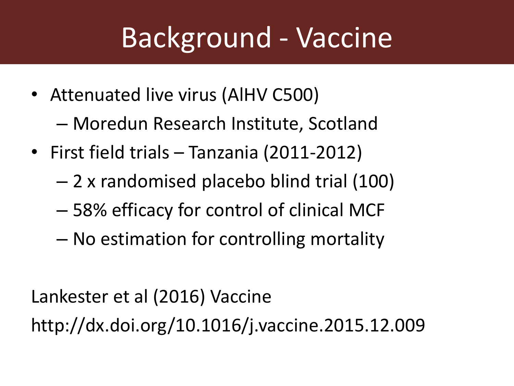# Background - Vaccine

- Attenuated live virus (AIHV C500) – Moredun Research Institute, Scotland
- First field trials Tanzania (2011-2012)
	- 2 x randomised placebo blind trial (100)
	- 58% efficacy for control of clinical MCF
	- No estimation for controlling mortality

Lankester et al (2016) Vaccine http://dx.doi.org/10.1016/j.vaccine.2015.12.009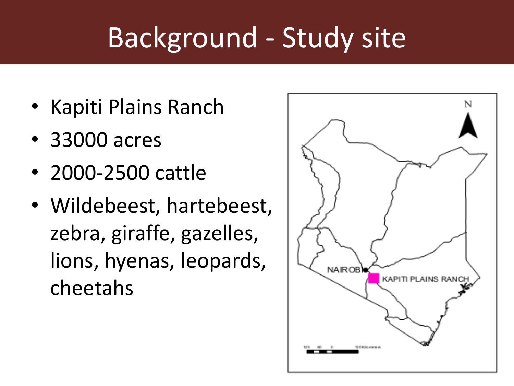## Background - Study site

- Kapiti Plains Ranch
- 33000 acres
- 2000-2500 cattle
- Wildebeest, hartebeest, zebra, giraffe, gazelles, lions, hyenas, leopards, cheetahs

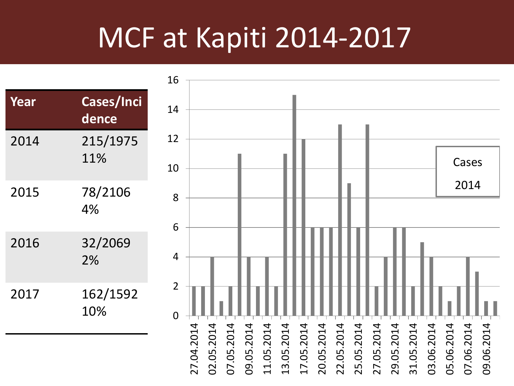### MCF at Kapiti 2014-2017

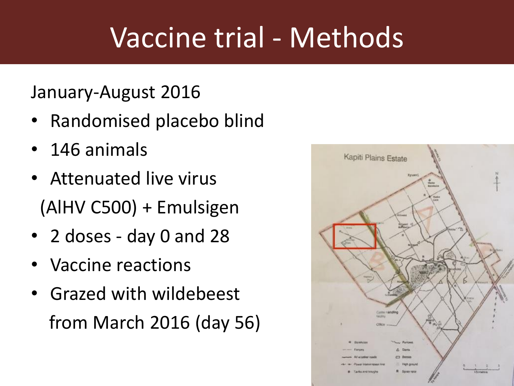## Vaccine trial - Methods

#### January-August 2016

- Randomised placebo blind
- 146 animals
- Attenuated live virus (AlHV C500) + Emulsigen
- 2 doses day 0 and 28
- Vaccine reactions
- Grazed with wildebeest from March 2016 (day 56)

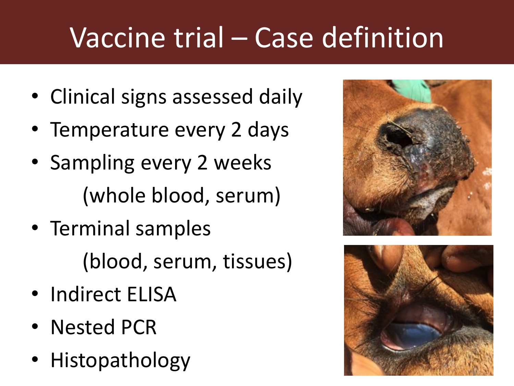# Vaccine trial – Case definition

- Clinical signs assessed daily
- Temperature every 2 days
- Sampling every 2 weeks (whole blood, serum)
- Terminal samples (blood, serum, tissues)
- Indirect ELISA
- Nested PCR
- Histopathology



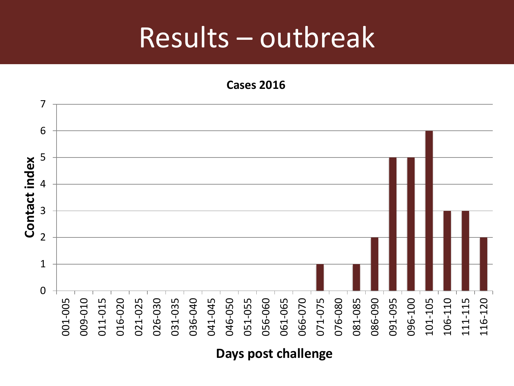### Results – outbreak

**Cases 2016**



**Days post challenge**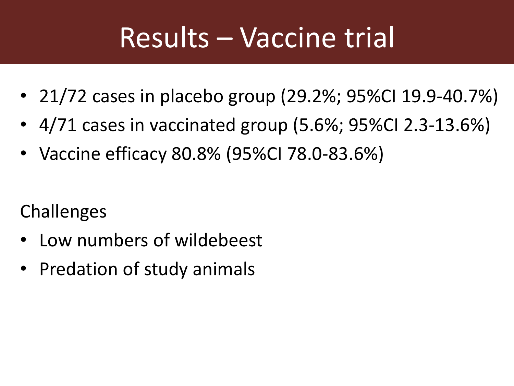## Results – Vaccine trial

- 21/72 cases in placebo group (29.2%; 95%CI 19.9-40.7%)
- 4/71 cases in vaccinated group (5.6%; 95%CI 2.3-13.6%)
- Vaccine efficacy 80.8% (95%CI 78.0-83.6%)

Challenges

- Low numbers of wildebeest
- Predation of study animals